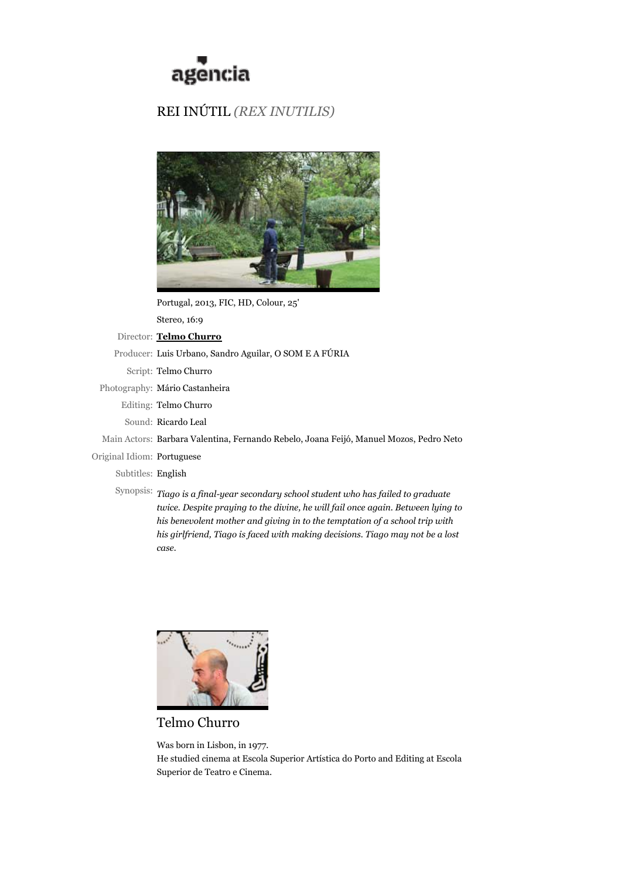

## REI INÚTIL *(REX INUTILIS)*



Portugal, 2013, FIC, HD, Colour, 25'

Stereo, 16:9

Director: **Telmo Churro**

Producer: Luis Urbano, Sandro Aguilar, O SOM E A FÚRIA

Script: Telmo Churro

Photography: Mário Castanheira

Editing: Telmo Churro

Sound: Ricardo Leal

Main Actors: Barbara Valentina, Fernando Rebelo, Joana Feijó, Manuel Mozos, Pedro Neto

Original Idiom: Portuguese

Subtitles: English

Synopsis: *Tiago is a final-year secondary school student who has failed to graduate twice. Despite praying to the divine, he will fail once again. Between lying to his benevolent mother and giving in to the temptation of a school trip with his girlfriend, Tiago is faced with making decisions. Tiago may not be a lost case.*



Telmo Churro

Was born in Lisbon, in 1977. He studied cinema at Escola Superior Artística do Porto and Editing at Escola Superior de Teatro e Cinema.